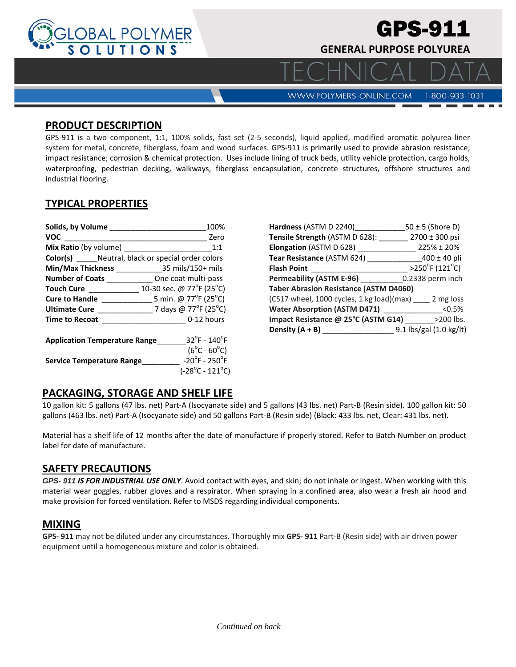

# GPS-911

**GENERAL PURPOSE POLYUREA** 

**WWW.POLYMERS-ONLINE.COM** 

# 1-800-933-1031

 $\Box$ 

#### **PRODUCT DESCRIPTION**

GPS‐911 is a two component, 1:1, 100% solids, fast set (2‐5 seconds), liquid applied, modified aromatic polyurea liner system for metal, concrete, fiberglass, foam and wood surfaces. GPS‐911 is primarily used to provide abrasion resistance; impact resistance; corrosion & chemical protection. Uses include lining of truck beds, utility vehicle protection, cargo holds, waterproofing, pedestrian decking, walkways, fiberglass encapsulation, concrete structures, offshore structures and industrial flooring.

# **TYPICAL PROPERTIES**

| Solids, by Volume Solids, and Solids and Solids and Solids and Solids and Solid Solid Solid Solid Solid Solid | 100%                                                      | Hardness (ASTM D 22          |
|---------------------------------------------------------------------------------------------------------------|-----------------------------------------------------------|------------------------------|
| <b>VOC</b>                                                                                                    | Zero                                                      | <b>Tensile Strength (AST</b> |
| <b>Mix Ratio</b> (by volume)<br>1:1                                                                           |                                                           | <b>Elongation (ASTM D 6</b>  |
| <b>Color(s)</b> ______ Neutral, black or special order colors                                                 |                                                           | <b>Tear Resistance (ASTI</b> |
|                                                                                                               | Min/Max Thickness 35 mils/150+ mils                       | <b>Flash Point</b>           |
|                                                                                                               | <b>Number of Coats</b> One coat multi-pass                | <b>Permeability (ASTM I</b>  |
|                                                                                                               | <b>Touch Cure</b> 10-30 sec. @ $77^{\circ}F(25^{\circ}C)$ | <b>Taber Abrasion Resist</b> |
|                                                                                                               |                                                           | (CS17 wheel, 1000 cy         |
| <b>Ultimate Cure</b>                                                                                          | 7 days @ 77 <sup>o</sup> F (25 <sup>o</sup> C)            | <b>Water Absorption (A)</b>  |
| <b>Time to Recoat</b>                                                                                         | 0-12 hours                                                | Impact Resistance @          |
|                                                                                                               |                                                           | Density $(A + B)$            |
| $32^{\circ}$ F - 140 $^{\circ}$ F<br><b>Application Temperature Range</b>                                     |                                                           |                              |
|                                                                                                               | $(6^{\circ}C - 60^{\circ}C)$                              |                              |
| <b>Service Temperature Range</b>                                                                              | $-20^\circ$ F - 250 $^\circ$ F                            |                              |
|                                                                                                               | $(-28^{\circ}C - 121^{\circ}C)$                           |                              |

| Hardness (ASTM D 2240)                              | $50 \pm 5$ (Shore D)                |  |  |
|-----------------------------------------------------|-------------------------------------|--|--|
| Tensile Strength (ASTM D 628):                      | 2700 ± 300 psi                      |  |  |
| Elongation (ASTM D 628)                             | $225\% \pm 20\%$                    |  |  |
| Tear Resistance (ASTM 624)                          | $400 \pm 40$ pli                    |  |  |
| <b>Flash Point</b>                                  | $>250^{\circ}$ F (121 $^{\circ}$ C) |  |  |
| <b>Permeability (ASTM E-96)</b>                     | 0.2338 perm inch                    |  |  |
| <b>Taber Abrasion Resistance (ASTM D4060)</b>       |                                     |  |  |
| (CS17 wheel, 1000 cycles, 1 kg load)(max) 2 mg loss |                                     |  |  |
| <b>Water Absorption (ASTM D471)</b>                 | < 0.5%                              |  |  |
| Impact Resistance @ 25°C (ASTM G14)                 | >200 lbs.                           |  |  |
| Density $(A + B)$                                   | 9.1 lbs/gal (1.0 kg/lt)             |  |  |

### **PACKAGING, STORAGE AND SHELF LIFE**

10 gallon kit: 5 gallons (47 lbs. net) Part‐A (Isocyanate side) and 5 gallons (43 lbs. net) Part‐B (Resin side). 100 gallon kit: 50 gallons (463 lbs. net) Part‐A (Isocyanate side) and 50 gallons Part‐B (Resin side) (Black: 433 lbs. net, Clear: 431 lbs. net).

Material has a shelf life of 12 months after the date of manufacture if properly stored. Refer to Batch Number on product label for date of manufacture.

## **SAFETY PRECAUTIONS**

*GPS- 911 IS FOR INDUSTRIAL USE ONLY*. Avoid contact with eyes, and skin; do not inhale or ingest. When working with this material wear goggles, rubber gloves and a respirator. When spraying in a confined area, also wear a fresh air hood and make provision for forced ventilation. Refer to MSDS regarding individual components.

### **MIXING**

**GPS‐ 911** may not be diluted under any circumstances. Thoroughly mix **GPS‐ 911** Part‐B (Resin side) with air driven power equipment until a homogeneous mixture and color is obtained.